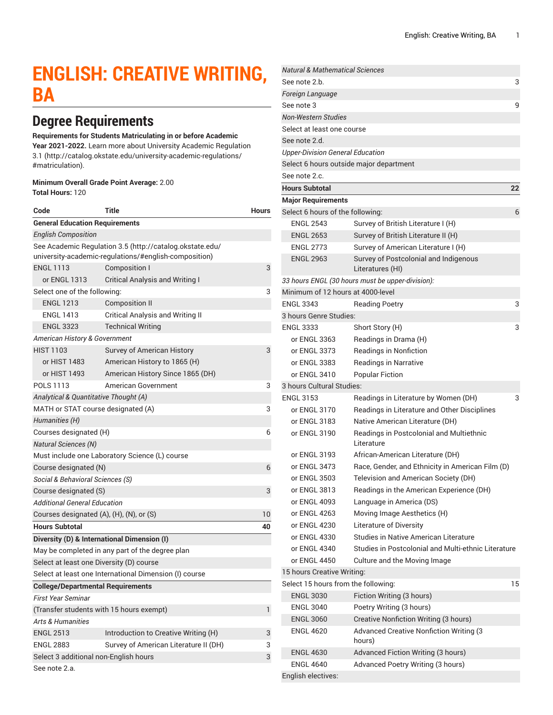# **ENGLISH: CREATIVE WRITING, BA**

# **Degree Requirements**

#### **Requirements for Students Matriculating in or before Academic**

**Year 2021-2022.** Learn more about University Academic [Regulation](http://catalog.okstate.edu/university-academic-regulations/#matriculation) [3.1](http://catalog.okstate.edu/university-academic-regulations/#matriculation) ([http://catalog.okstate.edu/university-academic-regulations/](http://catalog.okstate.edu/university-academic-regulations/#matriculation) [#matriculation\)](http://catalog.okstate.edu/university-academic-regulations/#matriculation).

#### **Minimum Overall Grade Point Average:** 2.00 **Total Hours:** 120

| Code                                                                                                              | Title                                                  | <b>Hours</b> |  |
|-------------------------------------------------------------------------------------------------------------------|--------------------------------------------------------|--------------|--|
| <b>General Education Requirements</b>                                                                             |                                                        |              |  |
| <b>English Composition</b>                                                                                        |                                                        |              |  |
| See Academic Regulation 3.5 (http://catalog.okstate.edu/<br>university-academic-regulations/#english-composition) |                                                        |              |  |
| <b>ENGL 1113</b>                                                                                                  | <b>Composition I</b>                                   | 3            |  |
| or ENGL 1313                                                                                                      | <b>Critical Analysis and Writing I</b>                 |              |  |
| Select one of the following:                                                                                      | 3                                                      |              |  |
| <b>ENGL 1213</b>                                                                                                  | Composition II                                         |              |  |
| <b>ENGL 1413</b>                                                                                                  | <b>Critical Analysis and Writing II</b>                |              |  |
| <b>ENGL 3323</b>                                                                                                  | <b>Technical Writing</b>                               |              |  |
| American History & Government                                                                                     |                                                        |              |  |
| <b>HIST 1103</b>                                                                                                  | Survey of American History                             | 3            |  |
| or HIST 1483                                                                                                      | American History to 1865 (H)                           |              |  |
| or HIST 1493                                                                                                      | American History Since 1865 (DH)                       |              |  |
| <b>POLS 1113</b>                                                                                                  | American Government                                    | 3            |  |
| Analytical & Quantitative Thought (A)                                                                             |                                                        |              |  |
| MATH or STAT course designated (A)                                                                                |                                                        | 3            |  |
| Humanities (H)                                                                                                    |                                                        |              |  |
| Courses designated (H)                                                                                            | 6                                                      |              |  |
| <b>Natural Sciences (N)</b>                                                                                       |                                                        |              |  |
| Must include one Laboratory Science (L) course                                                                    |                                                        |              |  |
| Course designated (N)                                                                                             |                                                        | 6            |  |
| Social & Behavioral Sciences (S)                                                                                  |                                                        |              |  |
| Course designated (S)                                                                                             |                                                        |              |  |
| Additional General Education                                                                                      |                                                        |              |  |
| Courses designated (A), (H), (N), or (S)                                                                          |                                                        | 10           |  |
| <b>Hours Subtotal</b>                                                                                             |                                                        | 40           |  |
| Diversity (D) & International Dimension (I)                                                                       |                                                        |              |  |
|                                                                                                                   | May be completed in any part of the degree plan        |              |  |
| Select at least one Diversity (D) course                                                                          |                                                        |              |  |
|                                                                                                                   | Select at least one International Dimension (I) course |              |  |
| <b>College/Departmental Requirements</b>                                                                          |                                                        |              |  |
| First Year Seminar                                                                                                |                                                        |              |  |
| (Transfer students with 15 hours exempt)                                                                          |                                                        |              |  |
| Arts & Humanities                                                                                                 |                                                        |              |  |
| <b>ENGL 2513</b>                                                                                                  | Introduction to Creative Writing (H)                   | 3            |  |
| <b>ENGL 2883</b>                                                                                                  | Survey of American Literature II (DH)                  | 3            |  |
| Select 3 additional non-English hours                                                                             |                                                        | 3            |  |
| See note 2.a.                                                                                                     |                                                        |              |  |

| <b>Natural &amp; Mathematical Sciences</b> |                                                           |    |
|--------------------------------------------|-----------------------------------------------------------|----|
| See note 2.b.                              |                                                           | 3  |
| Foreign Language                           |                                                           |    |
| See note 3                                 |                                                           | 9  |
| <b>Non-Western Studies</b>                 |                                                           |    |
| Select at least one course                 |                                                           |    |
| See note 2.d.                              |                                                           |    |
| <b>Upper-Division General Education</b>    |                                                           |    |
|                                            | Select 6 hours outside major department                   |    |
| See note 2.c.                              |                                                           |    |
| <b>Hours Subtotal</b>                      |                                                           | 22 |
| <b>Major Requirements</b>                  |                                                           |    |
| Select 6 hours of the following:           |                                                           | 6  |
| <b>ENGL 2543</b>                           | Survey of British Literature I (H)                        |    |
| <b>ENGL 2653</b>                           | Survey of British Literature II (H)                       |    |
| <b>ENGL 2773</b>                           | Survey of American Literature I (H)                       |    |
| <b>ENGL 2963</b>                           | Survey of Postcolonial and Indigenous<br>Literatures (HI) |    |
|                                            | 33 hours ENGL (30 hours must be upper-division):          |    |
| Minimum of 12 hours at 4000-level          |                                                           |    |
| <b>FNGI 3343</b>                           | <b>Reading Poetry</b>                                     | 3  |
| 3 hours Genre Studies:                     |                                                           |    |
| <b>ENGL 3333</b>                           | Short Story (H)                                           | 3  |
| or ENGL 3363                               | Readings in Drama (H)                                     |    |
| or ENGL 3373                               | Readings in Nonfiction                                    |    |
| or ENGL 3383                               | Readings in Narrative                                     |    |
| or ENGL 3410                               | <b>Popular Fiction</b>                                    |    |
| 3 hours Cultural Studies:                  |                                                           |    |
| <b>ENGL 3153</b>                           | Readings in Literature by Women (DH)                      | 3  |
| or ENGL 3170                               | Readings in Literature and Other Disciplines              |    |
| or ENGL 3183                               | Native American Literature (DH)                           |    |
| or ENGL 3190                               | Readings in Postcolonial and Multiethnic<br>Literature    |    |
| or ENGL 3193                               | African-American Literature (DH)                          |    |
| or ENGL 3473                               | Race, Gender, and Ethnicity in American Film (D)          |    |
| or ENGL 3503                               | Television and American Society (DH)                      |    |
| or ENGL 3813                               | Readings in the American Experience (DH)                  |    |
| or ENGL 4093                               | Language in America (DS)                                  |    |
| or ENGL 4263                               | Moving Image Aesthetics (H)                               |    |
| or ENGL 4230                               | Literature of Diversity                                   |    |
| or ENGL 4330                               | Studies in Native American Literature                     |    |
| or ENGL 4340                               | Studies in Postcolonial and Multi-ethnic Literature       |    |
| or ENGL 4450                               | Culture and the Moving Image                              |    |
| 15 hours Creative Writing:                 |                                                           |    |
| Select 15 hours from the following:        |                                                           | 15 |
| <b>ENGL 3030</b>                           | Fiction Writing (3 hours)                                 |    |
| <b>ENGL 3040</b>                           | Poetry Writing (3 hours)                                  |    |
| <b>ENGL 3060</b>                           | Creative Nonfiction Writing (3 hours)                     |    |
| <b>ENGL 4620</b>                           | <b>Advanced Creative Nonfiction Writing (3</b><br>hours)  |    |
| <b>ENGL 4630</b>                           | Advanced Fiction Writing (3 hours)                        |    |
| <b>ENGL 4640</b>                           | Advanced Poetry Writing (3 hours)                         |    |
| English electives:                         |                                                           |    |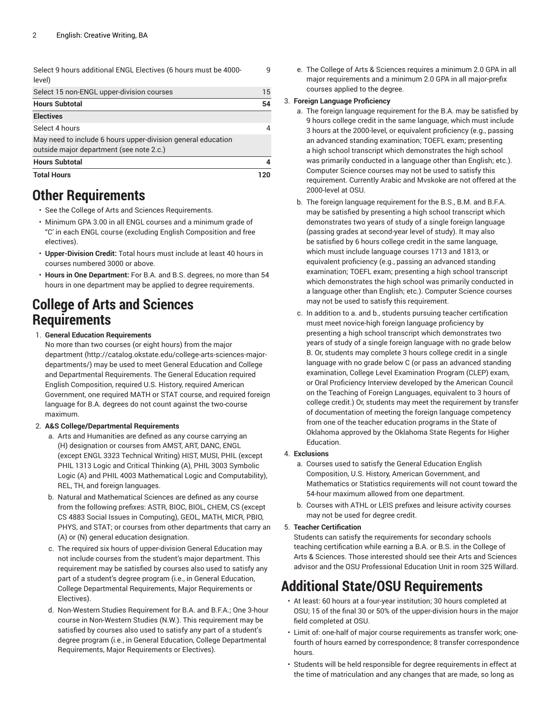| Select 9 hours additional ENGL Electives (6 hours must be 4000- |  |
|-----------------------------------------------------------------|--|
| level)                                                          |  |

| Select 15 non-ENGL upper-division courses                                                                |    |
|----------------------------------------------------------------------------------------------------------|----|
| <b>Hours Subtotal</b>                                                                                    | 54 |
| <b>Electives</b>                                                                                         |    |
| Select 4 hours                                                                                           |    |
| May need to include 6 hours upper-division general education<br>outside major department (see note 2.c.) |    |
| <b>Hours Subtotal</b>                                                                                    |    |
| <b>Total Hours</b>                                                                                       |    |

## **Other Requirements**

- See the College of Arts and Sciences Requirements.
- Minimum GPA 3.00 in all ENGL courses and a minimum grade of "C' in each ENGL course (excluding English Composition and free electives).
- **Upper-Division Credit:** Total hours must include at least 40 hours in courses numbered 3000 or above.
- **Hours in One Department:** For B.A. and B.S. degrees, no more than 54 hours in one department may be applied to degree requirements.

### **College of Arts and Sciences Requirements**

#### 1. **General Education Requirements**

No more than two courses (or eight hours) from [the major](http://catalog.okstate.edu/college-arts-sciences-major-departments/) [department \(http://catalog.okstate.edu/college-arts-sciences-major](http://catalog.okstate.edu/college-arts-sciences-major-departments/)[departments/](http://catalog.okstate.edu/college-arts-sciences-major-departments/)) may be used to meet General Education and College and Departmental Requirements. The General Education required English Composition, required U.S. History, required American Government, one required MATH or STAT course, and required foreign language for B.A. degrees do not count against the two-course maximum.

#### 2. **A&S College/Departmental Requirements**

- a. Arts and Humanities are defined as any course carrying an (H) designation or courses from AMST, ART, DANC, ENGL (except ENGL 3323 Technical Writing) HIST, MUSI, PHIL (except PHIL 1313 Logic and Critical Thinking (A), PHIL 3003 Symbolic Logic (A) and PHIL 4003 Mathematical Logic and Computability), REL, TH, and foreign languages.
- b. Natural and Mathematical Sciences are defined as any course from the following prefixes: ASTR, BIOC, BIOL, CHEM, CS (except CS 4883 Social Issues in Computing), GEOL, MATH, MICR, PBIO, PHYS, and STAT; or courses from other departments that carry an (A) or (N) general education designation.
- c. The required six hours of upper-division General Education may not include courses from the student's major department. This requirement may be satisfied by courses also used to satisfy any part of a student's degree program (i.e., in General Education, College Departmental Requirements, Major Requirements or Electives).
- d. Non-Western Studies Requirement for B.A. and B.F.A.; One 3-hour course in Non-Western Studies (N.W.). This requirement may be satisfied by courses also used to satisfy any part of a student's degree program (i.e., in General Education, College Departmental Requirements, Major Requirements or Electives).

e. The College of Arts & Sciences requires a minimum 2.0 GPA in all major requirements and a minimum 2.0 GPA in all major-prefix courses applied to the degree.

#### 3. **Foreign Language Proficiency**

9

- a. The foreign language requirement for the B.A. may be satisfied by 9 hours college credit in the same language, which must include 3 hours at the 2000-level, or equivalent proficiency (e.g., passing an advanced standing examination; TOEFL exam; presenting a high school transcript which demonstrates the high school was primarily conducted in a language other than English; etc.). Computer Science courses may not be used to satisfy this requirement. Currently Arabic and Mvskoke are not offered at the 2000-level at OSU.
- b. The foreign language requirement for the B.S., B.M. and B.F.A. may be satisfied by presenting a high school transcript which demonstrates two years of study of a single foreign language (passing grades at second-year level of study). It may also be satisfied by 6 hours college credit in the same language, which must include language courses 1713 and 1813, or equivalent proficiency (e.g., passing an advanced standing examination; TOEFL exam; presenting a high school transcript which demonstrates the high school was primarily conducted in a language other than English; etc.). Computer Science courses may not be used to satisfy this requirement.
- c. In addition to a. and b., students pursuing teacher certification must meet novice-high foreign language proficiency by presenting a high school transcript which demonstrates two years of study of a single foreign language with no grade below B. Or, students may complete 3 hours college credit in a single language with no grade below C (or pass an advanced standing examination, College Level Examination Program (CLEP) exam, or Oral Proficiency Interview developed by the American Council on the Teaching of Foreign Languages, equivalent to 3 hours of college credit.) Or, students may meet the requirement by transfer of documentation of meeting the foreign language competency from one of the teacher education programs in the State of Oklahoma approved by the Oklahoma State Regents for Higher Education.

#### 4. **Exclusions**

- a. Courses used to satisfy the General Education English Composition, U.S. History, American Government, and Mathematics or Statistics requirements will not count toward the 54-hour maximum allowed from one department.
- b. Courses with ATHL or LEIS prefixes and leisure activity courses may not be used for degree credit.

#### 5. **Teacher Certification**

Students can satisfy the requirements for secondary schools teaching certification while earning a B.A. or B.S. in the College of Arts & Sciences. Those interested should see their Arts and Sciences advisor and the OSU Professional Education Unit in room 325 Willard.

# **Additional State/OSU Requirements**

- At least: 60 hours at a four-year institution; 30 hours completed at OSU; 15 of the final 30 or 50% of the upper-division hours in the major field completed at OSU.
- Limit of: one-half of major course requirements as transfer work; onefourth of hours earned by correspondence; 8 transfer correspondence hours.
- Students will be held responsible for degree requirements in effect at the time of matriculation and any changes that are made, so long as